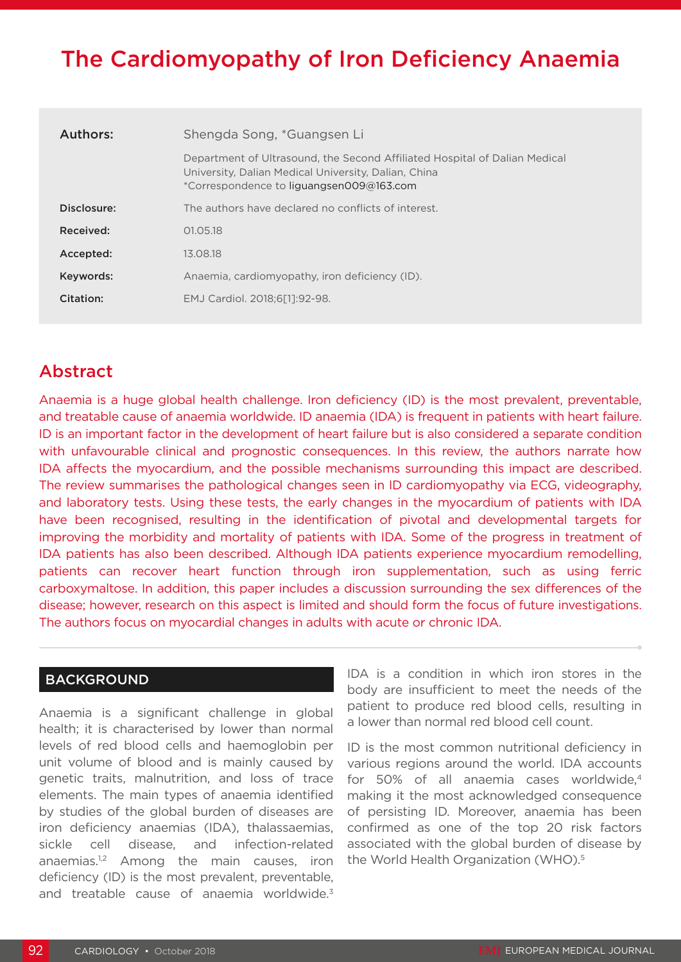# The Cardiomyopathy of Iron Deficiency Anaemia

| Authors:    | Shengda Song, *Guangsen Li                                                                                                                                                     |
|-------------|--------------------------------------------------------------------------------------------------------------------------------------------------------------------------------|
|             | Department of Ultrasound, the Second Affiliated Hospital of Dalian Medical<br>University, Dalian Medical University, Dalian, China<br>*Correspondence to liquangsen009@163.com |
| Disclosure: | The authors have declared no conflicts of interest.                                                                                                                            |
| Received:   | 01.05.18                                                                                                                                                                       |
| Accepted:   | 13.08.18                                                                                                                                                                       |
| Keywords:   | Anaemia, cardiomyopathy, iron deficiency (ID).                                                                                                                                 |
| Citation:   | EMJ Cardiol. 2018:6[11:92-98.                                                                                                                                                  |
|             |                                                                                                                                                                                |

## Abstract

Anaemia is a huge global health challenge. Iron deficiency (ID) is the most prevalent, preventable, and treatable cause of anaemia worldwide. ID anaemia (IDA) is frequent in patients with heart failure. ID is an important factor in the development of heart failure but is also considered a separate condition with unfavourable clinical and prognostic consequences. In this review, the authors narrate how IDA affects the myocardium, and the possible mechanisms surrounding this impact are described. The review summarises the pathological changes seen in ID cardiomyopathy via ECG, videography, and laboratory tests. Using these tests, the early changes in the myocardium of patients with IDA have been recognised, resulting in the identification of pivotal and developmental targets for improving the morbidity and mortality of patients with IDA. Some of the progress in treatment of IDA patients has also been described. Although IDA patients experience myocardium remodelling, patients can recover heart function through iron supplementation, such as using ferric carboxymaltose. In addition, this paper includes a discussion surrounding the sex differences of the disease; however, research on this aspect is limited and should form the focus of future investigations. The authors focus on myocardial changes in adults with acute or chronic IDA.

### BACKGROUND

Anaemia is a significant challenge in global health; it is characterised by lower than normal levels of red blood cells and haemoglobin per unit volume of blood and is mainly caused by genetic traits, malnutrition, and loss of trace elements. The main types of anaemia identified by studies of the global burden of diseases are iron deficiency anaemias (IDA), thalassaemias, sickle cell disease, and infection-related anaemias.1,2 Among the main causes, iron deficiency (ID) is the most prevalent, preventable, and treatable cause of anaemia worldwide.<sup>3</sup>

IDA is a condition in which iron stores in the body are insufficient to meet the needs of the patient to produce red blood cells, resulting in a lower than normal red blood cell count.

ID is the most common nutritional deficiency in various regions around the world. IDA accounts for 50% of all anaemia cases worldwide,4 making it the most acknowledged consequence of persisting ID. Moreover, anaemia has been confirmed as one of the top 20 risk factors associated with the global burden of disease by the World Health Organization (WHO).5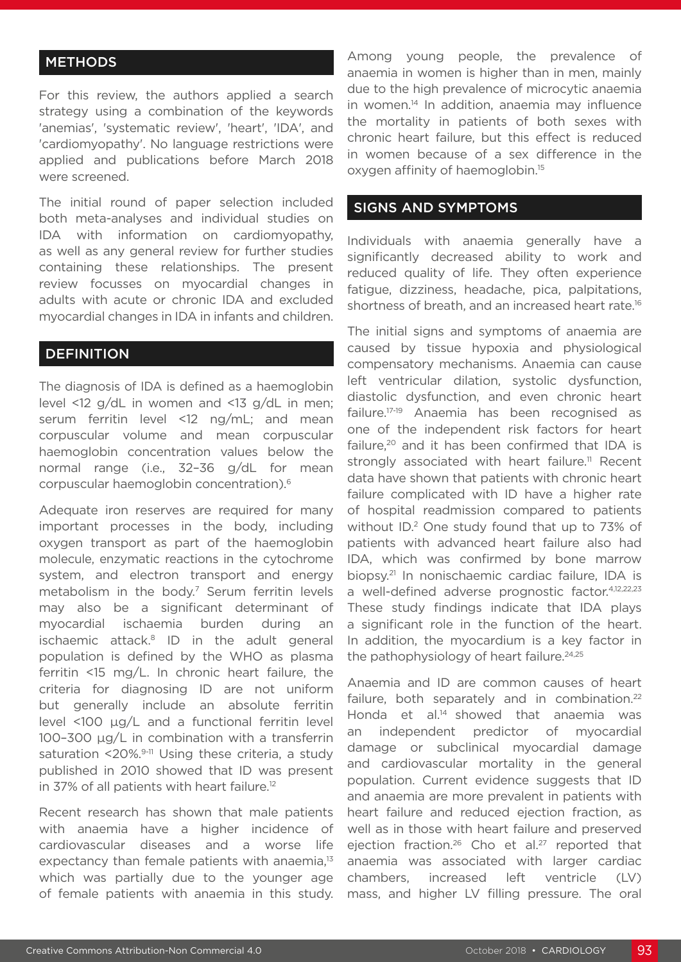#### **METHODS**

For this review, the authors applied a search strategy using a combination of the keywords 'anemias', 'systematic review', 'heart', 'IDA', and 'cardiomyopathy'. No language restrictions were applied and publications before March 2018 were screened.

The initial round of paper selection included both meta-analyses and individual studies on IDA with information on cardiomyopathy, as well as any general review for further studies containing these relationships. The present review focusses on myocardial changes in adults with acute or chronic IDA and excluded myocardial changes in IDA in infants and children.

#### **DEFINITION**

The diagnosis of IDA is defined as a haemoglobin level <12 g/dL in women and <13 g/dL in men; serum ferritin level <12 ng/mL; and mean corpuscular volume and mean corpuscular haemoglobin concentration values below the normal range (i.e., 32–36 g/dL for mean corpuscular haemoglobin concentration).6

Adequate iron reserves are required for many important processes in the body, including oxygen transport as part of the haemoglobin molecule, enzymatic reactions in the cytochrome system, and electron transport and energy metabolism in the body.7 Serum ferritin levels may also be a significant determinant of myocardial ischaemia burden during an ischaemic attack.<sup>8</sup> ID in the adult general population is defined by the WHO as plasma ferritin <15 mg/L. In chronic heart failure, the criteria for diagnosing ID are not uniform but generally include an absolute ferritin level <100 μg/L and a functional ferritin level 100–300 μg/L in combination with a transferrin saturation  $\leq 20\%$ .<sup>9-11</sup> Using these criteria, a study published in 2010 showed that ID was present in 37% of all patients with heart failure.<sup>12</sup>

Recent research has shown that male patients with anaemia have a higher incidence of cardiovascular diseases and a worse life expectancy than female patients with anaemia,<sup>13</sup> which was partially due to the younger age of female patients with anaemia in this study. Among young people, the prevalence of anaemia in women is higher than in men, mainly due to the high prevalence of microcytic anaemia in women.<sup>14</sup> In addition, anaemia may influence the mortality in patients of both sexes with chronic heart failure, but this effect is reduced in women because of a sex difference in the oxygen affinity of haemoglobin.15

#### SIGNS AND SYMPTOMS

Individuals with anaemia generally have a significantly decreased ability to work and reduced quality of life. They often experience fatigue, dizziness, headache, pica, palpitations, shortness of breath, and an increased heart rate.<sup>16</sup>

The initial signs and symptoms of anaemia are caused by tissue hypoxia and physiological compensatory mechanisms. Anaemia can cause left ventricular dilation, systolic dysfunction, diastolic dysfunction, and even chronic heart failure.17-19 Anaemia has been recognised as one of the independent risk factors for heart failure.<sup>20</sup> and it has been confirmed that IDA is strongly associated with heart failure.<sup>11</sup> Recent data have shown that patients with chronic heart failure complicated with ID have a higher rate of hospital readmission compared to patients without ID.<sup>2</sup> One study found that up to 73% of patients with advanced heart failure also had IDA, which was confirmed by bone marrow biopsy.<sup>21</sup> In nonischaemic cardiac failure, IDA is a well-defined adverse prognostic factor.4,12,22,23 These study findings indicate that IDA plays a significant role in the function of the heart. In addition, the myocardium is a key factor in the pathophysiology of heart failure.<sup>24,25</sup>

Anaemia and ID are common causes of heart failure, both separately and in combination.<sup>22</sup> Honda et al.<sup>14</sup> showed that anaemia was an independent predictor of myocardial damage or subclinical myocardial damage and cardiovascular mortality in the general population. Current evidence suggests that ID and anaemia are more prevalent in patients with heart failure and reduced ejection fraction, as well as in those with heart failure and preserved ejection fraction.<sup>26</sup> Cho et al.<sup>27</sup> reported that anaemia was associated with larger cardiac chambers, increased left ventricle (LV) mass, and higher LV filling pressure. The oral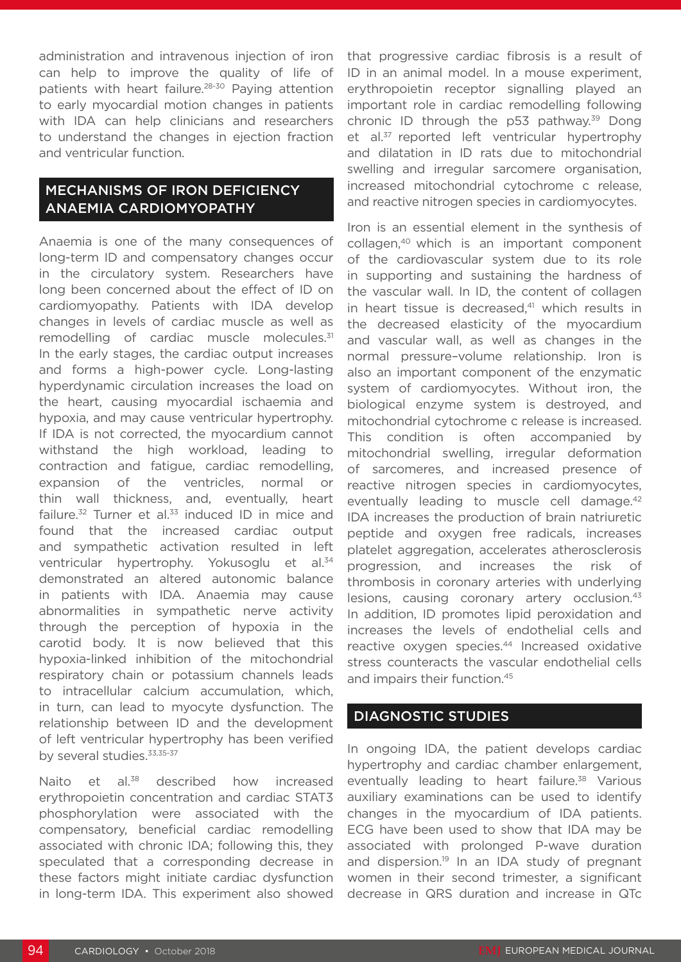administration and intravenous injection of iron can help to improve the quality of life of patients with heart failure.<sup>28-30</sup> Paying attention to early myocardial motion changes in patients with IDA can help clinicians and researchers to understand the changes in ejection fraction and ventricular function.

#### MECHANISMS OF IRON DEFICIENCY ANAEMIA CARDIOMYOPATHY

Anaemia is one of the many consequences of long-term ID and compensatory changes occur in the circulatory system. Researchers have long been concerned about the effect of ID on cardiomyopathy. Patients with IDA develop changes in levels of cardiac muscle as well as remodelling of cardiac muscle molecules.<sup>31</sup> In the early stages, the cardiac output increases and forms a high-power cycle. Long-lasting hyperdynamic circulation increases the load on the heart, causing myocardial ischaemia and hypoxia, and may cause ventricular hypertrophy. If IDA is not corrected, the myocardium cannot withstand the high workload, leading to contraction and fatigue, cardiac remodelling, expansion of the ventricles, normal or thin wall thickness, and, eventually, heart failure. $32$  Turner et al. $33$  induced ID in mice and found that the increased cardiac output and sympathetic activation resulted in left ventricular hypertrophy. Yokusoglu et al.<sup>34</sup> demonstrated an altered autonomic balance in patients with IDA. Anaemia may cause abnormalities in sympathetic nerve activity through the perception of hypoxia in the carotid body. It is now believed that this hypoxia-linked inhibition of the mitochondrial respiratory chain or potassium channels leads to intracellular calcium accumulation, which, in turn, can lead to myocyte dysfunction. The relationship between ID and the development of left ventricular hypertrophy has been verified by several studies.<sup>33,35-37</sup>

Naito et al.<sup>38</sup> described how increased erythropoietin concentration and cardiac STAT3 phosphorylation were associated with the compensatory, beneficial cardiac remodelling associated with chronic IDA; following this, they speculated that a corresponding decrease in these factors might initiate cardiac dysfunction in long-term IDA. This experiment also showed that progressive cardiac fibrosis is a result of ID in an animal model. In a mouse experiment, erythropoietin receptor signalling played an important role in cardiac remodelling following chronic ID through the  $p53$  pathway.<sup>39</sup> Dong et al.<sup>37</sup> reported left ventricular hypertrophy and dilatation in ID rats due to mitochondrial swelling and irregular sarcomere organisation, increased mitochondrial cytochrome c release, and reactive nitrogen species in cardiomyocytes.

Iron is an essential element in the synthesis of collagen,40 which is an important component of the cardiovascular system due to its role in supporting and sustaining the hardness of the vascular wall. In ID, the content of collagen in heart tissue is decreased,<sup>41</sup> which results in the decreased elasticity of the myocardium and vascular wall, as well as changes in the normal pressure–volume relationship. Iron is also an important component of the enzymatic system of cardiomyocytes. Without iron, the biological enzyme system is destroyed, and mitochondrial cytochrome c release is increased. This condition is often accompanied by mitochondrial swelling, irregular deformation of sarcomeres, and increased presence of reactive nitrogen species in cardiomyocytes, eventually leading to muscle cell damage.<sup>42</sup> IDA increases the production of brain natriuretic peptide and oxygen free radicals, increases platelet aggregation, accelerates atherosclerosis progression, and increases the risk of thrombosis in coronary arteries with underlying lesions, causing coronary artery occlusion.<sup>43</sup> In addition, ID promotes lipid peroxidation and increases the levels of endothelial cells and reactive oxygen species.<sup>44</sup> Increased oxidative stress counteracts the vascular endothelial cells and impairs their function.<sup>45</sup>

#### DIAGNOSTIC STUDIES

In ongoing IDA, the patient develops cardiac hypertrophy and cardiac chamber enlargement, eventually leading to heart failure.<sup>38</sup> Various auxiliary examinations can be used to identify changes in the myocardium of IDA patients. ECG have been used to show that IDA may be associated with prolonged P-wave duration and dispersion.<sup>19</sup> In an IDA study of pregnant women in their second trimester, a significant decrease in QRS duration and increase in QTc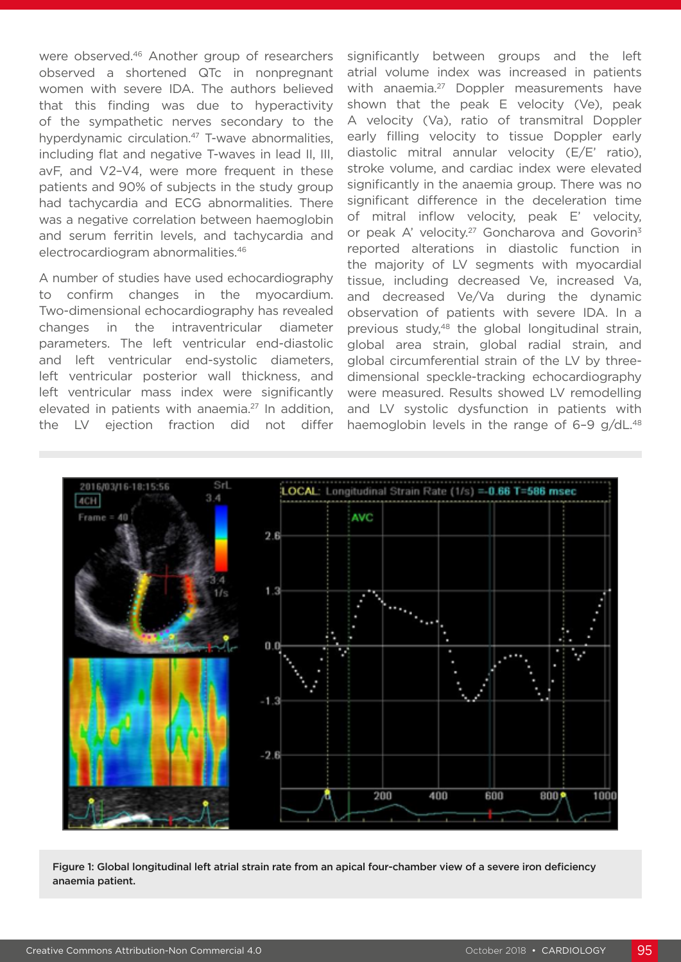were observed.<sup>46</sup> Another group of researchers observed a shortened QTc in nonpregnant women with severe IDA. The authors believed that this finding was due to hyperactivity of the sympathetic nerves secondary to the hyperdynamic circulation.<sup>47</sup> T-wave abnormalities, including flat and negative T-waves in lead II, III, avF, and V2–V4, were more frequent in these patients and 90% of subjects in the study group had tachycardia and ECG abnormalities. There was a negative correlation between haemoglobin and serum ferritin levels, and tachycardia and electrocardiogram abnormalities.46

A number of studies have used echocardiography to confirm changes in the myocardium. Two-dimensional echocardiography has revealed changes in the intraventricular diameter parameters. The left ventricular end-diastolic and left ventricular end-systolic diameters, left ventricular posterior wall thickness, and left ventricular mass index were significantly elevated in patients with anaemia.<sup>27</sup> In addition, the LV ejection fraction did not differ significantly between groups and the left atrial volume index was increased in patients with anaemia.<sup>27</sup> Doppler measurements have shown that the peak E velocity (Ve), peak A velocity (Va), ratio of transmitral Doppler early filling velocity to tissue Doppler early diastolic mitral annular velocity (E/E' ratio), stroke volume, and cardiac index were elevated significantly in the anaemia group. There was no significant difference in the deceleration time of mitral inflow velocity, peak E' velocity, or peak A' velocity.<sup>27</sup> Goncharova and Govorin<sup>3</sup> reported alterations in diastolic function in the majority of LV segments with myocardial tissue, including decreased Ve, increased Va, and decreased Ve/Va during the dynamic observation of patients with severe IDA. In a previous study,48 the global longitudinal strain, global area strain, global radial strain, and global circumferential strain of the LV by threedimensional speckle-tracking echocardiography were measured. Results showed LV remodelling and LV systolic dysfunction in patients with haemoglobin levels in the range of  $6-9$  g/dL.<sup>48</sup>



Figure 1: Global longitudinal left atrial strain rate from an apical four-chamber view of a severe iron deficiency anaemia patient.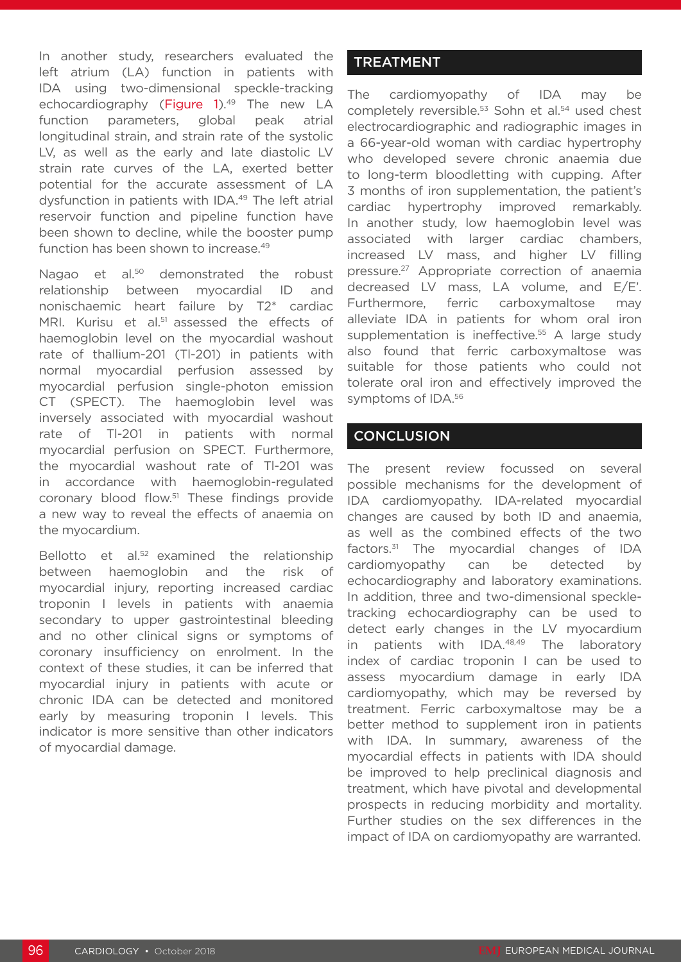In another study, researchers evaluated the left atrium (LA) function in patients with IDA using two-dimensional speckle-tracking echocardiography (Figure 1).<sup>49</sup> The new LA function parameters, global peak atrial longitudinal strain, and strain rate of the systolic LV, as well as the early and late diastolic LV strain rate curves of the LA, exerted better potential for the accurate assessment of LA dysfunction in patients with IDA.49 The left atrial reservoir function and pipeline function have been shown to decline, while the booster pump function has been shown to increase.<sup>49</sup>

Nagao et al.<sup>50</sup> demonstrated the robust relationship between myocardial ID and nonischaemic heart failure by T2\* cardiac MRI. Kurisu et al.<sup>51</sup> assessed the effects of haemoglobin level on the myocardial washout rate of thallium-201 (Tl-201) in patients with normal myocardial perfusion assessed by myocardial perfusion single-photon emission CT (SPECT). The haemoglobin level was inversely associated with myocardial washout rate of Tl-201 in patients with normal myocardial perfusion on SPECT. Furthermore, the myocardial washout rate of Tl-201 was in accordance with haemoglobin-regulated coronary blood flow.51 These findings provide a new way to reveal the effects of anaemia on the myocardium.

Bellotto et al.<sup>52</sup> examined the relationship between haemoglobin and the risk of myocardial injury, reporting increased cardiac troponin I levels in patients with anaemia secondary to upper gastrointestinal bleeding and no other clinical signs or symptoms of coronary insufficiency on enrolment. In the context of these studies, it can be inferred that myocardial injury in patients with acute or chronic IDA can be detected and monitored early by measuring troponin I levels. This indicator is more sensitive than other indicators of myocardial damage.

### **TREATMENT**

The cardiomyopathy of IDA may be completely reversible.<sup>53</sup> Sohn et al.<sup>54</sup> used chest electrocardiographic and radiographic images in a 66-year-old woman with cardiac hypertrophy who developed severe chronic anaemia due to long-term bloodletting with cupping. After 3 months of iron supplementation, the patient's cardiac hypertrophy improved remarkably. In another study, low haemoglobin level was associated with larger cardiac chambers, increased LV mass, and higher LV filling pressure.27 Appropriate correction of anaemia decreased LV mass, LA volume, and E/E'. Furthermore, ferric carboxymaltose may alleviate IDA in patients for whom oral iron supplementation is ineffective.<sup>55</sup> A large study also found that ferric carboxymaltose was suitable for those patients who could not tolerate oral iron and effectively improved the symptoms of IDA.56

#### **CONCLUSION**

The present review focussed on several possible mechanisms for the development of IDA cardiomyopathy. IDA-related myocardial changes are caused by both ID and anaemia, as well as the combined effects of the two factors.31 The myocardial changes of IDA cardiomyopathy can be detected by echocardiography and laboratory examinations. In addition, three and two-dimensional speckletracking echocardiography can be used to detect early changes in the LV myocardium in patients with IDA.<sup>48,49</sup> The laboratory index of cardiac troponin I can be used to assess myocardium damage in early IDA cardiomyopathy, which may be reversed by treatment. Ferric carboxymaltose may be a better method to supplement iron in patients with IDA. In summary, awareness of the myocardial effects in patients with IDA should be improved to help preclinical diagnosis and treatment, which have pivotal and developmental prospects in reducing morbidity and mortality. Further studies on the sex differences in the impact of IDA on cardiomyopathy are warranted.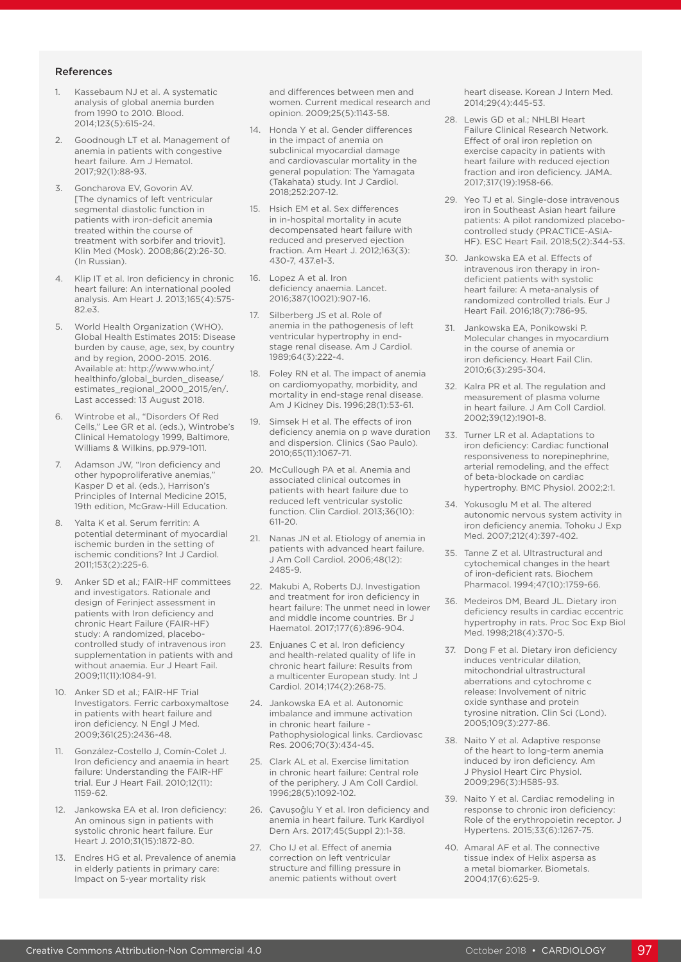#### References

- 1. Kassebaum NJ et al. A systematic analysis of global anemia burden from 1990 to 2010. Blood. 2014;123(5):615-24.
- Goodnough LT et al. Management of anemia in patients with congestive heart failure. Am J Hematol. 2017;92(1):88-93.
- Goncharova EV, Govorin AV. [The dynamics of left ventricular segmental diastolic function in patients with iron-deficit anemia treated within the course of treatment with sorbifer and triovit]. Klin Med (Mosk). 2008;86(2):26-30. (In Russian).
- Klip IT et al. Iron deficiency in chronic heart failure: An international pooled analysis. Am Heart J. 2013;165(4):575- 82.e3.
- World Health Organization (WHO). Global Health Estimates 2015: Disease burden by cause, age, sex, by country and by region, 2000-2015. 2016. Available at: http://www.who.int/ healthinfo/global\_burden\_disease/ estimates\_regional\_2000\_2015/en/. Last accessed: 13 August 2018.
- 6. Wintrobe et al., "Disorders Of Red Cells," Lee GR et al. (eds.), Wintrobe's Clinical Hematology 1999, Baltimore, Williams & Wilkins, pp.979-1011.
- 7. Adamson JW, "Iron deficiency and other hypoproliferative anemias," Kasper D et al. (eds.), Harrison's Principles of Internal Medicine 2015, 19th edition, McGraw-Hill Education.
- 8. Yalta K et al. Serum ferritin: A potential determinant of myocardial ischemic burden in the setting of ischemic conditions? Int J Cardiol. 2011;153(2):225-6.
- 9. Anker SD et al.; FAIR-HF committees and investigators. Rationale and design of Ferinject assessment in patients with Iron deficiency and chronic Heart Failure (FAIR-HF) study: A randomized, placebocontrolled study of intravenous iron supplementation in patients with and without anaemia. Eur J Heart Fail. 2009;11(11):1084-91.
- 10. Anker SD et al.; FAIR-HF Trial Investigators. Ferric carboxymaltose in patients with heart failure and iron deficiency. N Engl J Med. 2009;361(25):2436-48.
- 11. González-Costello J, Comín-Colet J. Iron deficiency and anaemia in heart failure: Understanding the FAIR-HF trial. Eur J Heart Fail. 2010;12(11): 1159-62.
- 12. Jankowska EA et al. Iron deficiency: An ominous sign in patients with systolic chronic heart failure. Eur Heart J. 2010;31(15):1872-80.
- 13. Endres HG et al. Prevalence of anemia in elderly patients in primary care: Impact on 5-year mortality risk

and differences between men and women. Current medical research and opinion. 2009;25(5):1143-58.

- 14. Honda Y et al. Gender differences in the impact of anemia on subclinical myocardial damage and cardiovascular mortality in the general population: The Yamagata (Takahata) study. Int J Cardiol. 2018;252:207-12.
- 15. Hsich EM et al. Sex differences in in-hospital mortality in acute decompensated heart failure with reduced and preserved ejection fraction. Am Heart J. 2012;163(3):  $430 - 7$   $437 - 1 - 3$
- 16. Lopez A et al. Iron deficiency anaemia. Lancet. 2016;387(10021):907-16.
- 17. Silberberg JS et al. Role of anemia in the pathogenesis of left ventricular hypertrophy in endstage renal disease. Am J Cardiol. 1989;64(3):222-4.
- 18. Foley RN et al. The impact of anemia on cardiomyopathy, morbidity, and mortality in end-stage renal disease. Am J Kidney Dis. 1996;28(1):53-61.
- 19. Simsek H et al. The effects of iron deficiency anemia on p wave duration and dispersion. Clinics (Sao Paulo). 2010;65(11):1067-71.
- 20. McCullough PA et al. Anemia and associated clinical outcomes in patients with heart failure due to reduced left ventricular systolic function. Clin Cardiol. 2013;36(10): 611-20.
- 21. Nanas JN et al. Etiology of anemia in patients with advanced heart failure. J Am Coll Cardiol. 2006;48(12): 2485-9.
- 22. Makubi A, Roberts DJ. Investigation and treatment for iron deficiency in heart failure: The unmet need in lower and middle income countries. Br J Haematol. 2017;177(6):896-904.
- 23. Enjuanes C et al. Iron deficiency and health-related quality of life in chronic heart failure: Results from a multicenter European study. Int J Cardiol. 2014;174(2):268-75.
- 24. Jankowska EA et al. Autonomic imbalance and immune activation in chronic heart failure - Pathophysiological links. Cardiovasc Res. 2006;70(3):434-45.
- 25. Clark AL et al. Exercise limitation in chronic heart failure: Central role of the periphery. J Am Coll Cardiol. 1996;28(5):1092-102.
- 26. Çavuşoĝlu Y et al. Iron deficiency and anemia in heart failure. Turk Kardiyol Dern Ars. 2017;45(Suppl 2):1-38.
- 27. Cho IJ et al. Effect of anemia correction on left ventricular structure and filling pressure in anemic patients without overt

heart disease. Korean J Intern Med. 2014;29(4):445-53.

- 28. Lewis GD et al.; NHLBI Heart Failure Clinical Research Network. Effect of oral iron repletion on exercise capacity in patients with heart failure with reduced ejection fraction and iron deficiency. JAMA. 2017;317(19):1958-66.
- 29. Yeo TJ et al. Single-dose intravenous iron in Southeast Asian heart failure patients: A pilot randomized placebocontrolled study (PRACTICE-ASIA-HF). ESC Heart Fail. 2018;5(2):344-53.
- 30. Jankowska EA et al. Effects of intravenous iron therapy in irondeficient patients with systolic heart failure: A meta-analysis of randomized controlled trials. Eur J Heart Fail. 2016;18(7):786-95.
- 31. Jankowska EA, Ponikowski P. Molecular changes in myocardium in the course of anemia or iron deficiency. Heart Fail Clin. 2010;6(3):295-304.
- 32. Kalra PR et al. The regulation and measurement of plasma volume in heart failure. J Am Coll Cardiol. 2002;39(12):1901-8.
- 33. Turner LR et al. Adaptations to iron deficiency: Cardiac functional responsiveness to norepinephrine, arterial remodeling, and the effect of beta-blockade on cardiac hypertrophy. BMC Physiol. 2002;2:1.
- 34. Yokusoglu M et al. The altered autonomic nervous system activity in iron deficiency anemia. Tohoku J Exp Med. 2007;212(4):397-402.
- 35. Tanne Z et al. Ultrastructural and cytochemical changes in the heart of iron-deficient rats. Biochem Pharmacol. 1994;47(10):1759-66.
- 36. Medeiros DM, Beard JL. Dietary iron deficiency results in cardiac eccentric hypertrophy in rats. Proc Soc Exp Biol Med. 1998;218(4):370-5.
- 37. Dong F et al. Dietary iron deficiency induces ventricular dilation, mitochondrial ultrastructural aberrations and cytochrome c release: Involvement of nitric oxide synthase and protein tyrosine nitration. Clin Sci (Lond). 2005;109(3):277-86.
- 38. Naito Y et al. Adaptive response of the heart to long-term anemia induced by iron deficiency. Am J Physiol Heart Circ Physiol. 2009;296(3):H585-93.
- 39. Naito Y et al. Cardiac remodeling in response to chronic iron deficiency: Role of the erythropoietin receptor. J Hypertens. 2015;33(6):1267-75.
- 40. Amaral AF et al. The connective tissue index of Helix aspersa as a metal biomarker. Biometals. 2004;17(6):625-9.